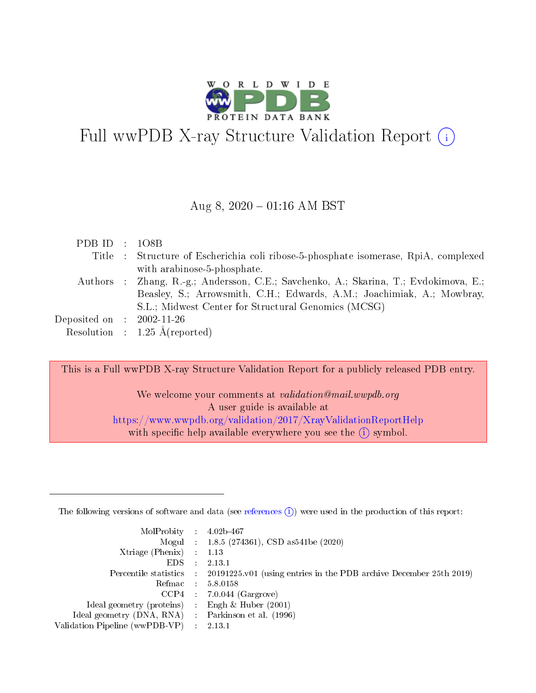

# Full wwPDB X-ray Structure Validation Report (i)

#### Aug 8,  $2020 - 01:16$  AM BST

| PDB ID : $108B$             |                                                                                      |
|-----------------------------|--------------------------------------------------------------------------------------|
|                             | Title : Structure of Escherichia coli ribose-5-phosphate isomerase, RpiA, complexed  |
|                             | with arabinose-5-phosphate.                                                          |
|                             | Authors : Zhang, R.-g.; Andersson, C.E.; Savchenko, A.; Skarina, T.; Evdokimova, E.; |
|                             | Beasley, S.; Arrowsmith, C.H.; Edwards, A.M.; Joachimiak, A.; Mowbray,               |
|                             | S.L.; Midwest Center for Structural Genomics (MCSG)                                  |
| Deposited on : $2002-11-26$ |                                                                                      |
|                             | Resolution : $1.25 \text{ Å}$ (reported)                                             |

This is a Full wwPDB X-ray Structure Validation Report for a publicly released PDB entry.

We welcome your comments at *validation@mail.wwpdb.org* A user guide is available at <https://www.wwpdb.org/validation/2017/XrayValidationReportHelp> with specific help available everywhere you see the  $(i)$  symbol.

The following versions of software and data (see [references](https://www.wwpdb.org/validation/2017/XrayValidationReportHelp#references)  $(1)$ ) were used in the production of this report:

| $MolProbability$ 4.02b-467                          |                             |                                                                                            |
|-----------------------------------------------------|-----------------------------|--------------------------------------------------------------------------------------------|
|                                                     |                             | Mogul : $1.8.5$ (274361), CSD as 541be (2020)                                              |
| Xtriage (Phenix)                                    |                             | 1.13                                                                                       |
| EDS.                                                | $\mathcal{L}$               | 2.13.1                                                                                     |
|                                                     |                             | Percentile statistics : 20191225.v01 (using entries in the PDB archive December 25th 2019) |
|                                                     |                             | Refmac $5.8.0158$                                                                          |
| CCP4                                                |                             | $7.0.044$ (Gargrove)                                                                       |
| Ideal geometry (proteins)                           | $\mathcal{L}^{\mathcal{L}}$ | Engh $\&$ Huber (2001)                                                                     |
| Ideal geometry (DNA, RNA) : Parkinson et al. (1996) |                             |                                                                                            |
| Validation Pipeline (wwPDB-VP)                      | $\sim 10^{11}$ m $^{-1}$    | 2.13.1                                                                                     |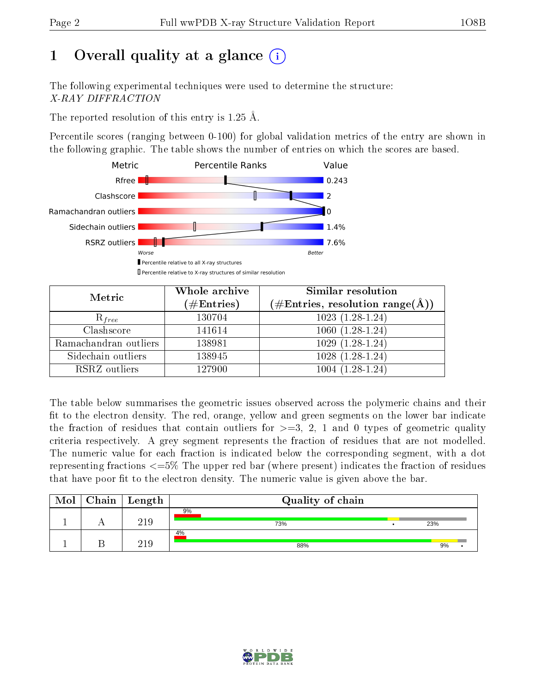# 1 [O](https://www.wwpdb.org/validation/2017/XrayValidationReportHelp#overall_quality)verall quality at a glance  $(i)$

The following experimental techniques were used to determine the structure: X-RAY DIFFRACTION

The reported resolution of this entry is 1.25 Å.

Percentile scores (ranging between 0-100) for global validation metrics of the entry are shown in the following graphic. The table shows the number of entries on which the scores are based.



| Metric                | Whole archive<br>$(\#\text{Entries})$ | Similar resolution<br>$(\#\text{Entries},\, \text{resolution}\; \text{range}(\textup{\AA}))$ |  |  |
|-----------------------|---------------------------------------|----------------------------------------------------------------------------------------------|--|--|
| $R_{free}$            | 130704                                | $1023(1.28-1.24)$                                                                            |  |  |
| Clashscore            | 141614                                | $1060(1.28-1.24)$                                                                            |  |  |
| Ramachandran outliers | 138981                                | $1029(1.28-1.24)$                                                                            |  |  |
| Sidechain outliers    | 138945                                | $1028(1.28-1.24)$                                                                            |  |  |
| RSRZ outliers         | 127900                                | $1004(1.28-1.24)$                                                                            |  |  |

The table below summarises the geometric issues observed across the polymeric chains and their fit to the electron density. The red, orange, yellow and green segments on the lower bar indicate the fraction of residues that contain outliers for  $>=3, 2, 1$  and 0 types of geometric quality criteria respectively. A grey segment represents the fraction of residues that are not modelled. The numeric value for each fraction is indicated below the corresponding segment, with a dot representing fractions  $\epsilon=5\%$  The upper red bar (where present) indicates the fraction of residues that have poor fit to the electron density. The numeric value is given above the bar.

| Mol | $Chain \  Length$ | Quality of chain |  |     |  |  |  |  |
|-----|-------------------|------------------|--|-----|--|--|--|--|
|     | 219               | 9%<br>73%        |  | 23% |  |  |  |  |
|     | 21 Q              | 4%<br>88%        |  | 9%  |  |  |  |  |

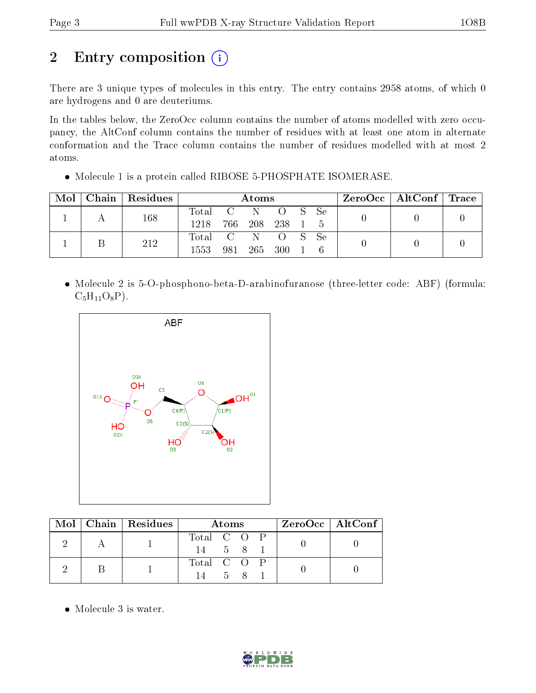# 2 Entry composition (i)

There are 3 unique types of molecules in this entry. The entry contains 2958 atoms, of which 0 are hydrogens and 0 are deuteriums.

In the tables below, the ZeroOcc column contains the number of atoms modelled with zero occupancy, the AltConf column contains the number of residues with at least one atom in alternate conformation and the Trace column contains the number of residues modelled with at most 2 atoms.

Molecule 1 is a protein called RIBOSE 5-PHOSPHATE ISOMERASE.

| Mol | Chain   Residues | Atoms                 |       |             |       |  | $ZeroOcc \mid AltConf \mid Trace \mid$ |  |  |
|-----|------------------|-----------------------|-------|-------------|-------|--|----------------------------------------|--|--|
|     | 168              | Total C N O S<br>1218 | -766- | 208 238 1 5 |       |  | – Se                                   |  |  |
|     | 212              | Total C N O S<br>1553 | -981  | 265         | - 300 |  | Se                                     |  |  |

 Molecule 2 is 5-O-phosphono-beta-D-arabinofuranose (three-letter code: ABF) (formula:  $C_5H_{11}O_8P$ ).



|  | $\text{Mol}$   Chain   Residues | <b>Atoms</b> |  | $ZeroOcc \mid AltConf$ |  |
|--|---------------------------------|--------------|--|------------------------|--|
|  |                                 | Total C O P  |  |                        |  |
|  |                                 | 14 5 8 1     |  |                        |  |
|  |                                 | Total C O P  |  |                        |  |
|  |                                 | 58<br>14 -   |  |                        |  |

• Molecule 3 is water.

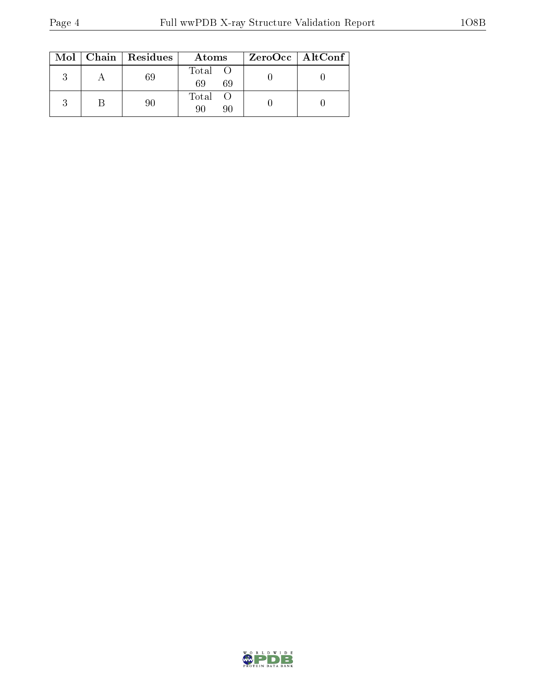|  | $Mol$   Chain   Residues | Atoms               | $ZeroOcc \   \ AltConf \  $ |
|--|--------------------------|---------------------|-----------------------------|
|  |                          | Total O<br>69<br>69 |                             |
|  |                          | Total O             |                             |

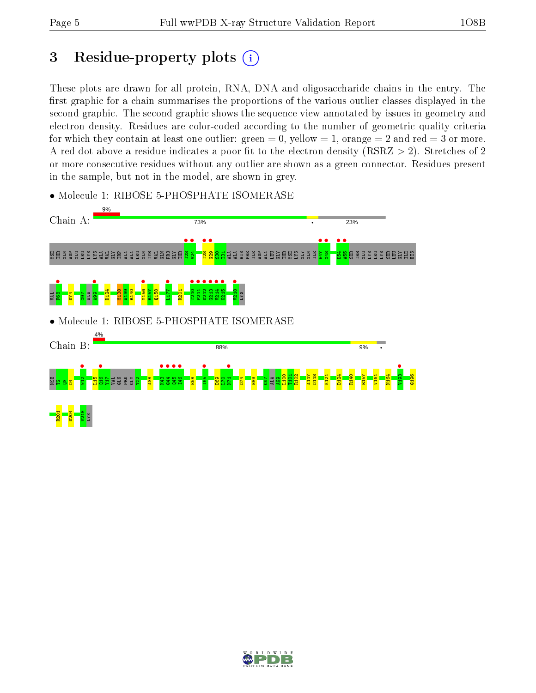## 3 Residue-property plots  $(i)$

These plots are drawn for all protein, RNA, DNA and oligosaccharide chains in the entry. The first graphic for a chain summarises the proportions of the various outlier classes displayed in the second graphic. The second graphic shows the sequence view annotated by issues in geometry and electron density. Residues are color-coded according to the number of geometric quality criteria for which they contain at least one outlier: green  $= 0$ , yellow  $= 1$ , orange  $= 2$  and red  $= 3$  or more. A red dot above a residue indicates a poor fit to the electron density ( $\text{RSRZ} > 2$ ). Stretches of 2 or more consecutive residues without any outlier are shown as a green connector. Residues present in the sample, but not in the model, are shown in grey.



• Molecule 1: RIBOSE 5-PHOSPHATE ISOMERASE

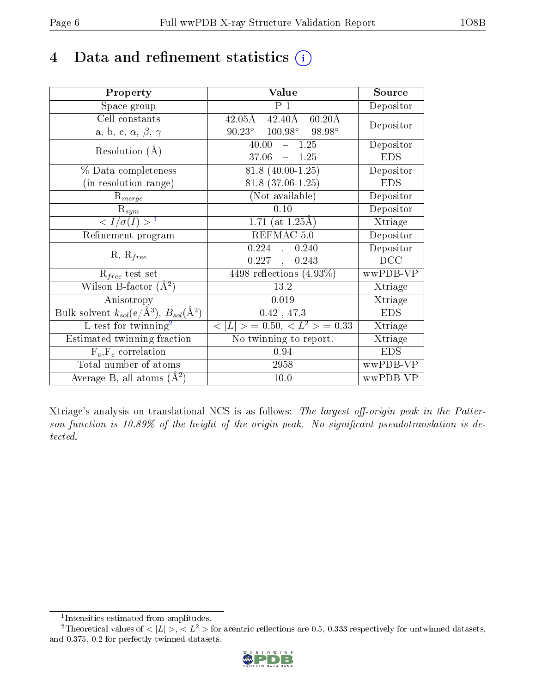## 4 Data and refinement statistics  $(i)$

| Property                                                         | Value                                                    | Source     |
|------------------------------------------------------------------|----------------------------------------------------------|------------|
| Space group                                                      | $P_1$                                                    | Depositor  |
| Cell constants                                                   | $42.40\text{\AA}$<br>$60.20\text{\AA}$<br>$42.05\rm \AA$ |            |
| a, b, c, $\alpha$ , $\beta$ , $\gamma$                           | $90.23^{\circ}$ $100.98^{\circ}$ $98.98^{\circ}$         | Depositor  |
| Resolution $(A)$                                                 | 40.00<br>$-1.25$                                         | Depositor  |
|                                                                  | 37.06<br>$-1.25$                                         | <b>EDS</b> |
| % Data completeness                                              | $81.8(40.00-1.25)$                                       | Depositor  |
| (in resolution range)                                            | $81.8(37.06-1.25)$                                       | <b>EDS</b> |
| $R_{merge}$                                                      | (Not available)                                          | Depositor  |
| $\mathrm{R}_{sym}$                                               | 0.10                                                     | Depositor  |
| $\langle I/\sigma(I) \rangle^{-1}$                               | 1.71 (at $1.25\text{\AA}$ )                              | Xtriage    |
| Refinement program                                               | REFMAC 5.0                                               | Depositor  |
|                                                                  | $0.224$ , $0.240$                                        | Depositor  |
| $R, R_{free}$                                                    | $0.227$ ,<br>0.243                                       | DCC        |
| $\mathcal{R}_{free}$ test set                                    | 4498 reflections $(4.93\%)$                              | wwPDB-VP   |
| Wilson B-factor $(A^2)$                                          | 13.2                                                     | Xtriage    |
| Anisotropy                                                       | 0.019                                                    | Xtriage    |
| Bulk solvent $k_{sol}(\text{e}/\text{A}^3), B_{sol}(\text{A}^2)$ | $0.42$ , $47.3\,$                                        | <b>EDS</b> |
| L-test for twinning <sup>2</sup>                                 | $< L >$ = 0.50, $< L2 >$ = 0.33                          | Xtriage    |
| Estimated twinning fraction                                      | No twinning to report.                                   | Xtriage    |
| $F_o, F_c$ correlation                                           | 0.94                                                     | <b>EDS</b> |
| Total number of atoms                                            | 2958                                                     | wwPDB-VP   |
| Average B, all atoms $(A^2)$                                     | 10.0                                                     | wwPDB-VP   |

Xtriage's analysis on translational NCS is as follows: The largest off-origin peak in the Patterson function is  $10.89\%$  of the height of the origin peak. No significant pseudotranslation is detected.

<sup>&</sup>lt;sup>2</sup>Theoretical values of  $\langle |L| \rangle$ ,  $\langle L^2 \rangle$  for acentric reflections are 0.5, 0.333 respectively for untwinned datasets, and 0.375, 0.2 for perfectly twinned datasets.



<span id="page-5-1"></span><span id="page-5-0"></span><sup>1</sup> Intensities estimated from amplitudes.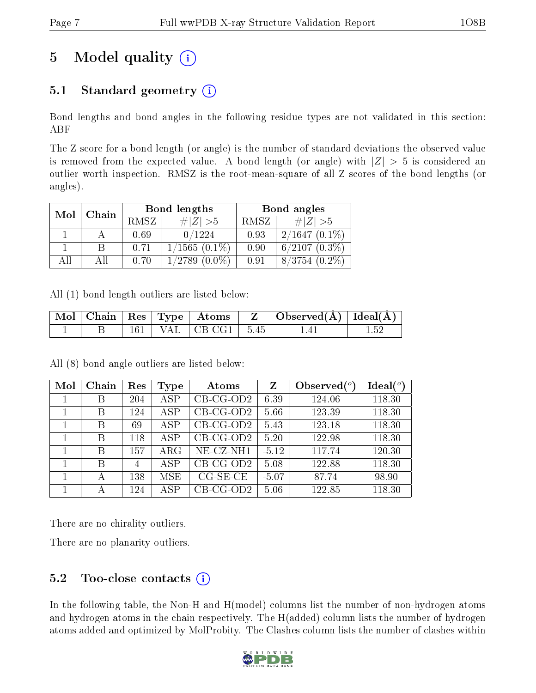# 5 Model quality  $(i)$

### 5.1 Standard geometry  $(i)$

Bond lengths and bond angles in the following residue types are not validated in this section: ABF

The Z score for a bond length (or angle) is the number of standard deviations the observed value is removed from the expected value. A bond length (or angle) with  $|Z| > 5$  is considered an outlier worth inspection. RMSZ is the root-mean-square of all Z scores of the bond lengths (or angles).

| Mol | Chain |      | Bond lengths       | Bond angles |                    |  |
|-----|-------|------|--------------------|-------------|--------------------|--|
|     |       | RMSZ | $\# Z  > 5$        | RMSZ        | # $ Z  > 5$        |  |
|     |       | 0.69 | 0/1224             | 0.93        | $2/1647(0.1\%)$    |  |
|     |       | 0.71 | $1/1565(0.1\%)$    | 0.90        | $6/2107(0.3\%)$    |  |
| AIL |       | 0.70 | $1/2789$ $(0.0\%)$ | 0.91        | $8/3754$ $(0.2\%)$ |  |

All (1) bond length outliers are listed below:

|  |  |                              | $\mid$ Mol $\mid$ Chain $\mid$ Res $\mid$ Type $\mid$ Atoms $\mid$ Z $\mid$ Observed(A) $\mid$ Ideal(A) $\mid$ |  |
|--|--|------------------------------|----------------------------------------------------------------------------------------------------------------|--|
|  |  | $161$   VAL   CB-CG1   -5.45 | 14 I                                                                                                           |  |

All (8) bond angle outliers are listed below:

| Mol | Chain | Res            | Type       | Atoms       | Z       | Observed $(^\circ)$ | $Ideal(^o)$ |
|-----|-------|----------------|------------|-------------|---------|---------------------|-------------|
|     | В     | 204            | <b>ASP</b> | $CB-CG-OD2$ | 6.39    | 124.06              | 118.30      |
|     | B     | 124            | <b>ASP</b> | $CB-CG-OD2$ | 5.66    | 123.39              | 118.30      |
|     | В     | 69             | <b>ASP</b> | $CB-CG-OD2$ | 5.43    | 123.18              | 118.30      |
|     | В     | 118            | <b>ASP</b> | $CB-CG-OD2$ | 5.20    | 122.98              | 118.30      |
|     | B     | 157            | $\rm{ARG}$ | NE-CZ-NH1   | $-5.12$ | 117.74              | 120.30      |
|     | B     | $\overline{4}$ | <b>ASP</b> | $CB-CG-OD2$ | 5.08    | 122.88              | 118.30      |
|     | А     | 138            | <b>MSE</b> | $CG-SE-CE$  | $-5.07$ | 87.74               | 98.90       |
|     |       | 124            | <b>ASP</b> | $CB-CG-OD2$ | 5.06    | 122.85              | 118.30      |

There are no chirality outliers.

There are no planarity outliers.

### $5.2$  Too-close contacts  $(i)$

In the following table, the Non-H and H(model) columns list the number of non-hydrogen atoms and hydrogen atoms in the chain respectively. The H(added) column lists the number of hydrogen atoms added and optimized by MolProbity. The Clashes column lists the number of clashes within

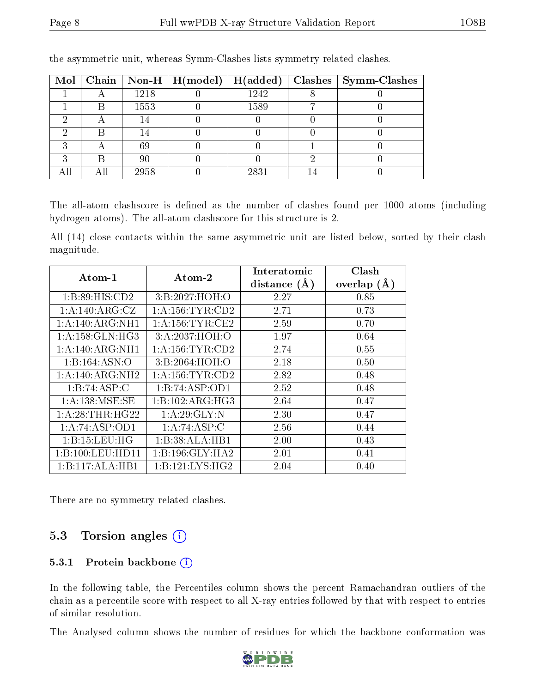|  |      | Mol   Chain   Non-H   $H (model)$   $H (added)$ |      | $\mid$ Clashes $\mid$ Symm-Clashes |
|--|------|-------------------------------------------------|------|------------------------------------|
|  | 1218 |                                                 | 1242 |                                    |
|  | 1553 |                                                 | 1589 |                                    |
|  |      |                                                 |      |                                    |
|  |      |                                                 |      |                                    |
|  | 69   |                                                 |      |                                    |
|  | 90   |                                                 |      |                                    |
|  | 2958 |                                                 | 2831 |                                    |

the asymmetric unit, whereas Symm-Clashes lists symmetry related clashes.

The all-atom clashscore is defined as the number of clashes found per 1000 atoms (including hydrogen atoms). The all-atom clashscore for this structure is 2.

All (14) close contacts within the same asymmetric unit are listed below, sorted by their clash magnitude.

| $\boldsymbol{\mathrm{Atom}\text{-}1}$ | $\boldsymbol{\mathrm{Atom}\text{-}2}$ | Interatomic    | Clash         |
|---------------------------------------|---------------------------------------|----------------|---------------|
|                                       |                                       | distance $(A)$ | overlap $(A)$ |
| 1: B:89: HIS: CD2                     | 3:B:2027:HOH:O                        | 2.27           | 0.85          |
| 1:A:140:ARG:CZ                        | 1: A: 156: TYR: CD2                   | 2.71           | 0.73          |
| 1:A:140:ARG:NH1                       | 1: A: 156: TYR: CE2                   | 2.59           | 0.70          |
| 1: A: 158: GLN: HG3                   | 3:A:2037:HOH:O                        | 1.97           | 0.64          |
| 1:A:140:ARG:NH1                       | 1: A: 156: TYR: CD2                   | 2.74           | 0.55          |
| 1:B:164:ASN:O                         | 3:B:2064:HOH:O                        | 2.18           | 0.50          |
| 1: A:140: ARG: NH2                    | 1: A: 156: TYR: CD2                   | 2.82           | 0.48          |
| 1:B:74:ASP:C                          | 1:B:74:ASP:OD1                        | 2.52           | 0.48          |
| 1: A: 138: MSE: SE                    | 1:B:102:ARG:HG3                       | 2.64           | 0.47          |
| 1: A:28:THR:HG22                      | 1: A:29: GLY:N                        | 2.30           | 0.47          |
| 1:A:74:ASP:OD1                        | 1:A:74:ASP:C                          | 2.56           | 0.44          |
| 1:B:15:LEU:HG                         | 1:B:38:ALA:HB1                        | 2.00           | 0.43          |
| 1:B:100:LEU:HDI1                      | 1:B:196:GLY:HA2                       | 2.01           | 0.41          |
| 1:B:117:ALA:HB1                       | 1:B:121:LYS:HG2                       | 2.04           | 0.40          |

There are no symmetry-related clashes.

### 5.3 Torsion angles (i)

#### 5.3.1 Protein backbone (i)

In the following table, the Percentiles column shows the percent Ramachandran outliers of the chain as a percentile score with respect to all X-ray entries followed by that with respect to entries of similar resolution.

The Analysed column shows the number of residues for which the backbone conformation was

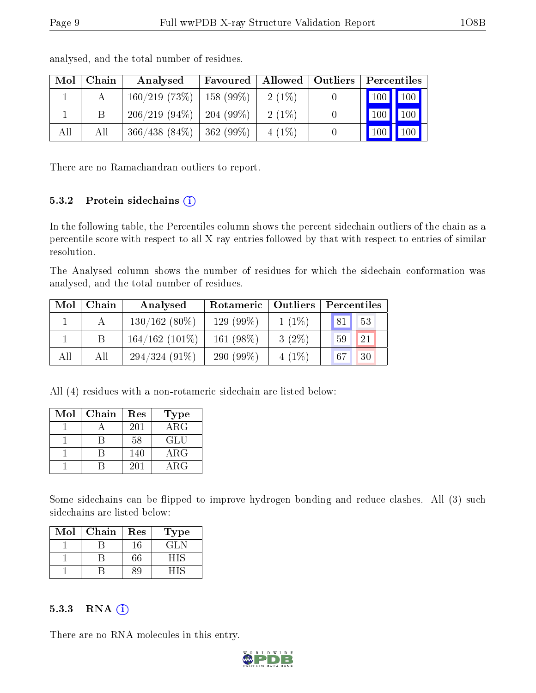| Mol | Chain | Analysed                      | Favoured        | Allowed  | $\vert$ Outliers | Percentiles                             |  |
|-----|-------|-------------------------------|-----------------|----------|------------------|-----------------------------------------|--|
|     |       | 160/219(73%)                  | $\pm 158$ (99%) | $2(1\%)$ |                  | 100 100                                 |  |
|     |       | $206/219$ (94\%)   204 (99\%) |                 | $2(1\%)$ |                  | $\vert$ 100 $\vert$<br>100              |  |
| All | All   | $366/438$ (84\%)   362 (99\%) |                 | $4(1\%)$ |                  | $\vert$ 100 $\vert$<br>100 <sub>1</sub> |  |

analysed, and the total number of residues.

There are no Ramachandran outliers to report.

#### 5.3.2 Protein sidechains (i)

In the following table, the Percentiles column shows the percent sidechain outliers of the chain as a percentile score with respect to all X-ray entries followed by that with respect to entries of similar resolution.

The Analysed column shows the number of residues for which the sidechain conformation was analysed, and the total number of residues.

| Mol | Chain | Analysed         | Rotameric   Outliers |          | Percentiles |  |
|-----|-------|------------------|----------------------|----------|-------------|--|
|     |       | $130/162(80\%)$  | 129 (99%)            | $1(1\%)$ | 53<br> 81   |  |
|     | B     | $164/162(101\%)$ | 161 (98%)            | $3(2\%)$ | 21<br>59    |  |
| All | All   | $294/324(91\%)$  | 290 (99%)            | $4(1\%)$ | 30<br>67    |  |

All (4) residues with a non-rotameric sidechain are listed below:

| Mol | Chain | Res | Type       |
|-----|-------|-----|------------|
|     |       | 201 | ARG        |
|     |       | 58  | GLU        |
|     |       | 140 | $\rm{ARG}$ |
|     |       | 201 | $\rm{ARG}$ |

Some sidechains can be flipped to improve hydrogen bonding and reduce clashes. All (3) such sidechains are listed below:

| Mol | Chain | Res | Type |
|-----|-------|-----|------|
|     |       | 16  | GL N |
|     |       | 66  | ᅴᆭ   |
|     |       |     |      |

#### $5.3.3$  RNA  $(i)$

There are no RNA molecules in this entry.

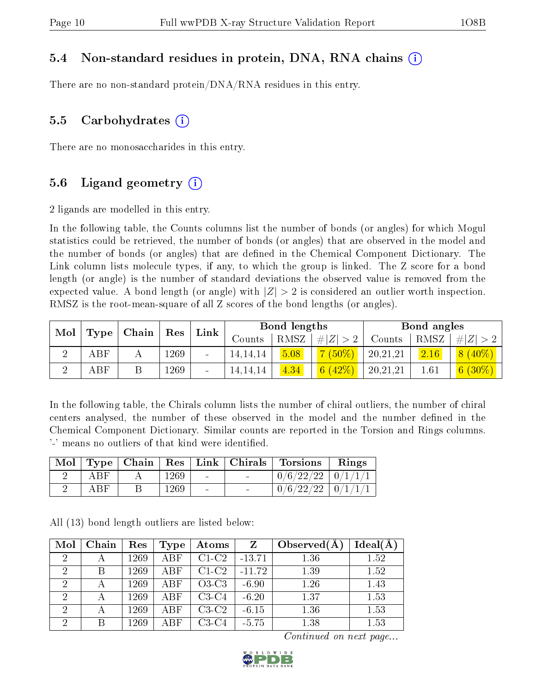#### 5.4 Non-standard residues in protein, DNA, RNA chains (i)

There are no non-standard protein/DNA/RNA residues in this entry.

#### 5.5 Carbohydrates (i)

There are no monosaccharides in this entry.

#### 5.6 Ligand geometry  $(i)$

2 ligands are modelled in this entry.

In the following table, the Counts columns list the number of bonds (or angles) for which Mogul statistics could be retrieved, the number of bonds (or angles) that are observed in the model and the number of bonds (or angles) that are dened in the Chemical Component Dictionary. The Link column lists molecule types, if any, to which the group is linked. The Z score for a bond length (or angle) is the number of standard deviations the observed value is removed from the expected value. A bond length (or angle) with  $|Z| > 2$  is considered an outlier worth inspection. RMSZ is the root-mean-square of all Z scores of the bond lengths (or angles).

| Mol |              |       | Link | <b>Bond lengths</b> |               |      | Bond angles   |          |      |             |
|-----|--------------|-------|------|---------------------|---------------|------|---------------|----------|------|-------------|
|     | $\Gamma$ ype | Chain | Res  |                     | $\rm{Counts}$ | RMSZ | , $\# Z  > 2$ | Counts   | RMSZ | $\# Z  > 2$ |
|     | ${\rm ABF}$  |       | 269  | $\blacksquare$      | 14, 14, 14    | 5.08 | $7(50\%)$     | 20,21,21 | 2.16 | $8(40\%)$   |
|     | ABF          |       | 1269 |                     | 14, 14, 14    | 4.34 | 6(42%)        | 20,21,21 | 1.61 | $6(30\%)$   |

In the following table, the Chirals column lists the number of chiral outliers, the number of chiral centers analysed, the number of these observed in the model and the number defined in the Chemical Component Dictionary. Similar counts are reported in the Torsion and Rings columns. '-' means no outliers of that kind were identified.

|     | $\text{Mol}$   Type   Chain |      |  | $\mid$ Res $\mid$ Link $\mid$ Chirals $\mid$ Torsions $\mid$ | Rings |
|-----|-----------------------------|------|--|--------------------------------------------------------------|-------|
| ABF |                             | 1269 |  | $0/6/22/22$   $0/1/1/1$                                      |       |
| ABF |                             | 1269 |  | $0/6/22/22$   $0/1/1/1$                                      |       |

All (13) bond length outliers are listed below:

| Mol            | Chain | Res  | Type       | Atoms   | Z        | Observed $(A$ | Ideal(A) |
|----------------|-------|------|------------|---------|----------|---------------|----------|
| $\overline{2}$ |       | 1269 | <b>ABF</b> | $C1-C2$ | $-13.71$ | 1.36          | 1.52     |
| $\overline{2}$ |       | 1269 | ABF        | $C1-C2$ | $-11.72$ | 1.39          | 1.52     |
| $\mathcal{D}$  |       | 1269 | ABF        | $O3-C3$ | $-6.90$  | 1.26          | 1.43     |
| $\overline{2}$ |       | 1269 | ABF        | $C3-C4$ | $-6.20$  | 1.37          | 1.53     |
| $\overline{2}$ |       | 1269 | ABF        | $C3-C2$ | $-6.15$  | 1.36          | 1.53     |
| $\overline{2}$ | В     | 1269 | ABF        | $C3-C4$ | $-5.75$  | 1.38          | 1.53     |

Continued on next page...

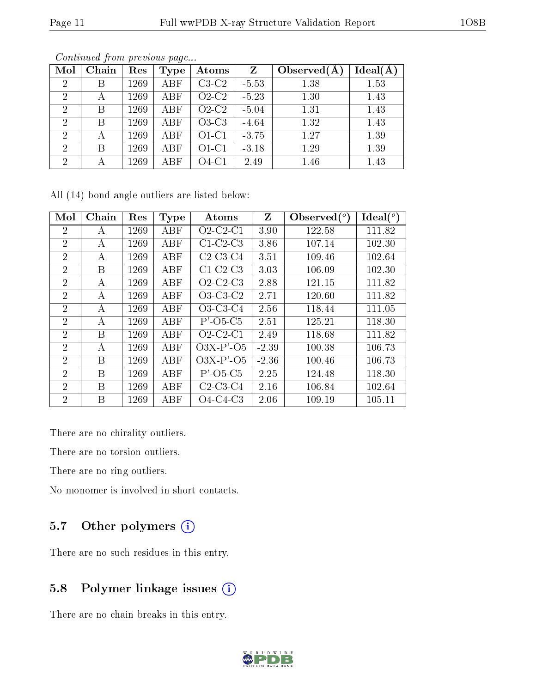| Mol            | Chain | Res  | Type       | Atoms   | $\mathbf{Z}$ | Observed $(A)$ | Ideal(A) |
|----------------|-------|------|------------|---------|--------------|----------------|----------|
| 2              | Β     | 1269 | ABF        | $C3-C2$ | $-5.53$      | 1.38           | 1.53     |
| 2              | А     | 1269 | <b>ABF</b> | $O2-C2$ | $-5.23$      | 1.30           | 1.43     |
| $\overline{2}$ | B     | 1269 | ABF        | $O2-C2$ | $-5.04$      | 1.31           | 1.43     |
| $\overline{2}$ | B     | 1269 | ABF        | $O3-C3$ | $-4.64$      | 1.32           | 1.43     |
| $\overline{2}$ | А     | 1269 | <b>ABF</b> | $O1-C1$ | $-3.75$      | 1.27           | 1.39     |
| $\overline{2}$ | B     | 1269 | ABF        | $O1-C1$ | $-3.18$      | 1.29           | 1.39     |
| 2              | А     | 1269 | ABF        | $O4-C1$ | 2.49         | 1.46           | 1.43     |

Continued from previous page...

All (14) bond angle outliers are listed below:

| Mol            | Chain | Res  | Type | Atoms                                | $Z_{\rm}$ | Observed $\binom{o}{c}$ | $\text{Ideal}({}^o)$ |
|----------------|-------|------|------|--------------------------------------|-----------|-------------------------|----------------------|
| $\overline{2}$ | A     | 1269 | ABF  | $O2$ -C <sub>2</sub> -C <sub>1</sub> | 3.90      | 122.58                  | 111.82               |
| $\overline{2}$ | А     | 1269 | ABF  | $C1-C2-C3$                           | 3.86      | 107.14                  | 102.30               |
| $\overline{2}$ | А     | 1269 | ABF  | $C2-C3-C4$                           | 3.51      | 109.46                  | 102.64               |
| $\overline{2}$ | B     | 1269 | ABF  | $C1-C2-C3$                           | 3.03      | 106.09                  | 102.30               |
| $\overline{2}$ | A     | 1269 | ABF  | $O2$ -C <sub>2</sub> -C <sub>3</sub> | 2.88      | 121.15                  | 111.82               |
| $\overline{2}$ | А     | 1269 | ABF  | $O3-C3-C2$                           | $2.71\,$  | 120.60                  | 111.82               |
| $\overline{2}$ | А     | 1269 | ABF  | $O3-C3-C4$                           | 2.56      | 118.44                  | 111.05               |
| $\overline{2}$ | А     | 1269 | ABF  | $P'$ -O5-C5                          | 2.51      | 125.21                  | 118.30               |
| $\overline{2}$ | B     | 1269 | ABF  | $O2$ -C <sub>2</sub> -C <sub>1</sub> | 2.49      | 118.68                  | 111.82               |
| $\overline{2}$ | А     | 1269 | ABF  | $O3X-P'$ - $O5$                      | $-2.39$   | 100.38                  | 106.73               |
| $\overline{2}$ | B     | 1269 | ABF  | $O3X-P'$ - $O5$                      | $-2.36$   | 100.46                  | 106.73               |
| $\overline{2}$ | B     | 1269 | ABF  | $P'$ -O5-C5                          | 2.25      | 124.48                  | 118.30               |
| $\overline{2}$ | B     | 1269 | ABF  | $C2-C3-C4$                           | 2.16      | 106.84                  | 102.64               |
| $\overline{2}$ | В     | 1269 | ABF  | $O4-C4-C3$                           | 2.06      | 109.19                  | 105.11               |

There are no chirality outliers.

There are no torsion outliers.

There are no ring outliers.

No monomer is involved in short contacts.

### 5.7 [O](https://www.wwpdb.org/validation/2017/XrayValidationReportHelp#nonstandard_residues_and_ligands)ther polymers (i)

There are no such residues in this entry.

### 5.8 Polymer linkage issues (i)

There are no chain breaks in this entry.

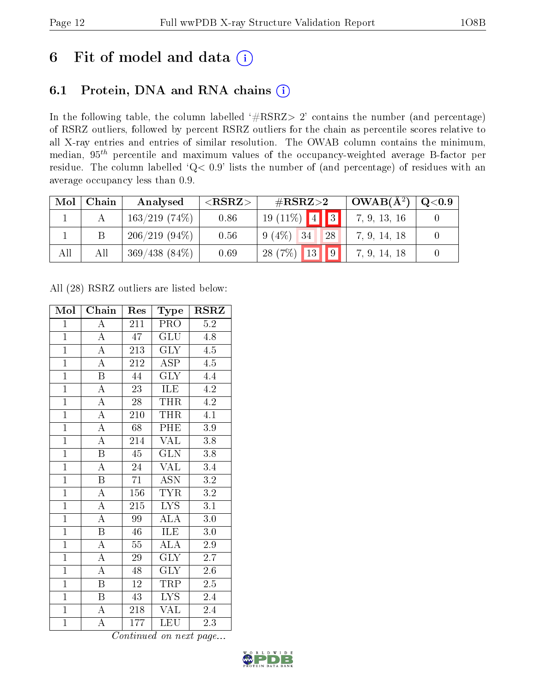## 6 Fit of model and data  $(i)$

### 6.1 Protein, DNA and RNA chains  $(i)$

In the following table, the column labelled  $#RSRZ> 2'$  contains the number (and percentage) of RSRZ outliers, followed by percent RSRZ outliers for the chain as percentile scores relative to all X-ray entries and entries of similar resolution. The OWAB column contains the minimum, median,  $95<sup>th</sup>$  percentile and maximum values of the occupancy-weighted average B-factor per residue. The column labelled ' $Q< 0.9$ ' lists the number of (and percentage) of residues with an average occupancy less than 0.9.

| Mol | Chain | Analysed         | ${ <\hspace{-1.5pt}{\mathrm{RSRZ}} \hspace{-1.5pt}>}$ | $\#\text{RSRZ}\text{>2}$ | $OWAB(A^2)$  | Q <sub>0.9</sub> |
|-----|-------|------------------|-------------------------------------------------------|--------------------------|--------------|------------------|
|     |       | $163/219$ (74\%) | 0.86                                                  | $19(11\%)$ 4 3           | 7, 9, 13, 16 |                  |
|     |       | $206/219(94\%)$  | 0.56                                                  | $9(4\%)$<br>34<br>28     | 7, 9, 14, 18 |                  |
| All | All   | $369/438(84\%)$  | 0.69                                                  | 13<br> 9 <br>28(7%)      | 7, 9, 14, 18 |                  |

All (28) RSRZ outliers are listed below:

| Mol            | Chain                   | Res              | Type                    | $\rm RSRZ$       |
|----------------|-------------------------|------------------|-------------------------|------------------|
| $\mathbf{1}$   | А                       | 211              | PRO                     | $5.2\,$          |
| $\mathbf{1}$   | $\overline{A}$          | $\overline{47}$  | GLU                     | 4.8              |
| $\overline{1}$ | $\overline{\rm A}$      | 213              | $\overline{\text{GLY}}$ | 4.5              |
| $\overline{1}$ | $\overline{\rm A}$      | 212              | <b>ASP</b>              | $\overline{4.5}$ |
| $\overline{1}$ | $\overline{\mathrm{B}}$ | 44               | $\overline{\text{GLY}}$ | 4.4              |
| $\overline{1}$ | $\overline{\rm A}$      | 23               | ILE                     | 4.2              |
| $\overline{1}$ | $\overline{\rm A}$      | 28               | THR                     | 4.2              |
| $\overline{1}$ | $\overline{\rm A}$      | 210              | <b>THR</b>              | $4.\overline{1}$ |
| $\overline{1}$ | $\overline{\rm A}$      | 68               | PHE                     | 3.9              |
| $\overline{1}$ | $\overline{\rm A}$      | 214              | $\overline{\text{VAL}}$ | $\overline{3.8}$ |
| $\overline{1}$ | $\overline{\mathrm{B}}$ | $\overline{45}$  | $\overline{\text{GLN}}$ | 3.8              |
| $\overline{1}$ | $\overline{A}$          | 24               | $\overline{\text{VAL}}$ | 3.4              |
| $\overline{1}$ | $\overline{\mathrm{B}}$ | $\overline{71}$  | <b>ASN</b>              | $3.2\,$          |
| $\overline{1}$ | $\overline{\rm A}$      | 156              | <b>TYR</b>              | $\overline{3.2}$ |
| $\overline{1}$ | $\overline{\rm A}$      | $\overline{215}$ | $\overline{\text{LYS}}$ | $\overline{3.1}$ |
| $\mathbf{1}$   | $\overline{\rm A}$      | 99               | $\overline{\rm ALA}$    | $\overline{3.0}$ |
| $\overline{1}$ | $\overline{\mathrm{B}}$ | $\overline{46}$  | <b>ILE</b>              | $\overline{3.0}$ |
| $\overline{1}$ | $\overline{\rm A}$      | 55               | $\overline{\rm ALA}$    | $2.9\,$          |
| $\overline{1}$ | $\overline{\rm A}$      | 29               | $\overline{\text{GLY}}$ | $\overline{2.7}$ |
| $\overline{1}$ | $\overline{\rm A}$      | 48               | $\overline{\text{GLY}}$ | $\overline{2.6}$ |
| $\overline{1}$ | $\overline{\mathrm{B}}$ | $\overline{12}$  | TRP                     | 2.5              |
| $\overline{1}$ | $\overline{\mathrm{B}}$ | 43               | <b>LYS</b>              | 2.4              |
| $\mathbf{1}$   | $\boldsymbol{A}$        | 218              | $\overline{\text{VAL}}$ | 2.4              |
| $\mathbf{1}$   | A                       | 177              | LEU                     | 2.3              |

Continued on next page...